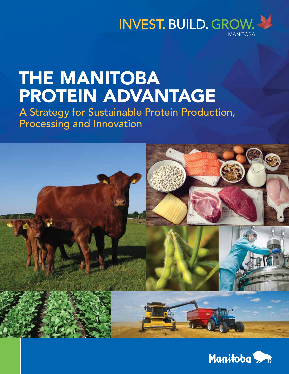

# THE MANITOBA PROTEIN ADVANTAGE

A Strategy for Sustainable Protein Production, Processing and Innovation



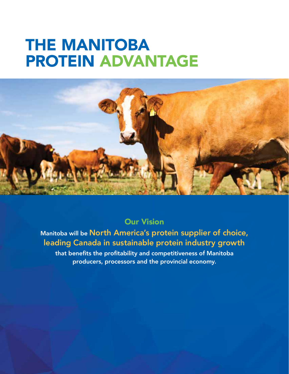## THE MANITOBA PROTEIN ADVANTAGE



## Our Vision

## Manitoba will be North America's protein supplier of choice, leading Canada in sustainable protein industry growth

that benefits the profitability and competitiveness of Manitoba producers, processors and the provincial economy.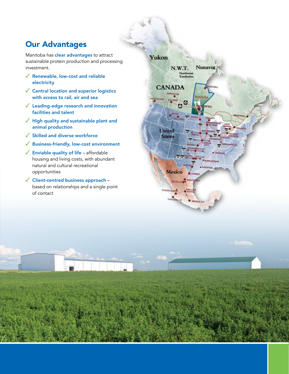## Our Advantages

Manitoba has clear advantages to attract sustainable protein production and processing investment.

- ✓ Renewable, low-cost and reliable electricity
- ✓ Central location and superior logistics with access to rail, air and sea
- ✓ Leading-edge research and innovation facilities and talent
- ✓ High quality and sustainable plant and animal production
- ✓ Skilled and diverse workforce
- ✓ Business-friendly, low-cost environment
- $\sqrt{\phantom{a}}$  Enviable quality of life affordable housing and living costs, with abundant natural and cultural recreational opportunities
- ✓ Client-centred business approach based on relationships and a single point of contact

#### Yukon

N.W.T.

**CANADA** 

**United States** 

**Mexico** 

tras

**ILLO** 

MEXICO, D.F.

Northwest<br>Territories

K.

**Nunavut**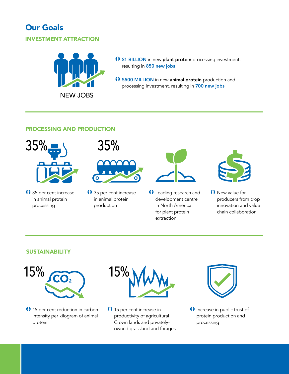## Our Goals

#### INVESTMENT ATTRACTION



- $\Omega$  \$1 BILLION in new plant protein processing investment, resulting in 850 new jobs
- **O** \$500 MILLION in new animal protein production and processing investment, resulting in 700 new jobs

#### PROCESSING AND PRODUCTION



 $\Omega$  35 per cent increase in animal protein processing



 $\bigcap$  35 per cent increase in animal protein production



 $\Omega$  Leading research and development centre in North America for plant protein extraction



 $\bigcap$  New value for producers from crop innovation and value chain collaboration

#### **SUSTAINABILITY**



Þ 15 per cent reduction in carbon intensity per kilogram of animal protein



 $\bigcap$  15 per cent increase in productivity of agricultural Crown lands and privatelyowned grassland and forages



 $\Omega$  Increase in public trust of protein production and processing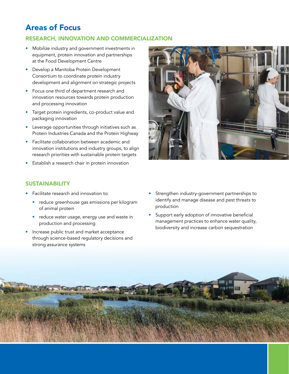## Areas of Focus

#### RESEARCH, INNOVATION AND COMMERCIALIZATION

- Mobilize industry and government investments in equipment, protein innovation and partnerships at the Food Development Centre
- Develop a Manitoba Protein Development Consortium to coordinate protein industry development and alignment on strategic projects
- Focus one third of department research and innovation resources towards protein production and processing innovation
- Target protein ingredients, co-product value and packaging innovation
- Leverage opportunities through initiatives such as Protein Industries Canada and the Protein Highway
- Facilitate collaboration between academic and innovation institutions and industry groups, to align research priorities with sustainable protein targets
- Establish a research chair in protein innovation

#### SUSTAINABILITY

- Facilitate research and innovation to:
	- reduce greenhouse gas emissions per kilogram of animal protein
	- reduce water usage, energy use and waste in production and processing
- Increase public trust and market acceptance through science-based regulatory decisions and strong assurance systems



- Strengthen industry-government partnerships to identify and manage disease and pest threats to production
- Support early adoption of innovative beneficial management practices to enhance water quality, biodiversity and increase carbon sequestration

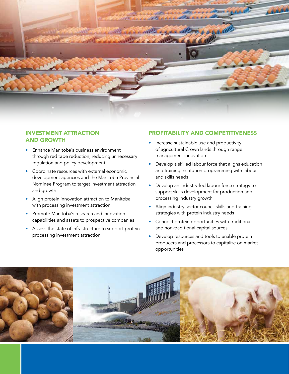

#### INVESTMENT ATTRACTION AND GROWTH

- Enhance Manitoba's business environment through red tape reduction, reducing unnecessary regulation and policy development
- Coordinate resources with external economic development agencies and the Manitoba Provincial Nominee Program to target investment attraction and growth
- Align protein innovation attraction to Manitoba with processing investment attraction
- Promote Manitoba's research and innovation capabilities and assets to prospective companies
- Assess the state of infrastructure to support protein processing investment attraction

#### PROFITABILITY AND COMPETITIVENESS

- Increase sustainable use and productivity of agricultural Crown lands through range management innovation
- Develop a skilled labour force that aligns education and training institution programming with labour and skills needs
- Develop an industry-led labour force strategy to support skills development for production and processing industry growth
- Align industry sector council skills and training strategies with protein industry needs
- Connect protein opportunities with traditional and non-traditional capital sources
- Develop resources and tools to enable protein producers and processors to capitalize on market opportunities

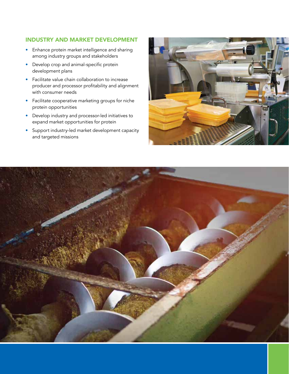#### INDUSTRY AND MARKET DEVELOPMENT

- Enhance protein market intelligence and sharing among industry groups and stakeholders
- Develop crop and animal-specific protein development plans
- Facilitate value chain collaboration to increase producer and processor profitability and alignment with consumer needs
- Facilitate cooperative marketing groups for niche protein opportunities
- Develop industry and processor-led initiatives to expand market opportunities for protein
- Support industry-led market development capacity and targeted missions